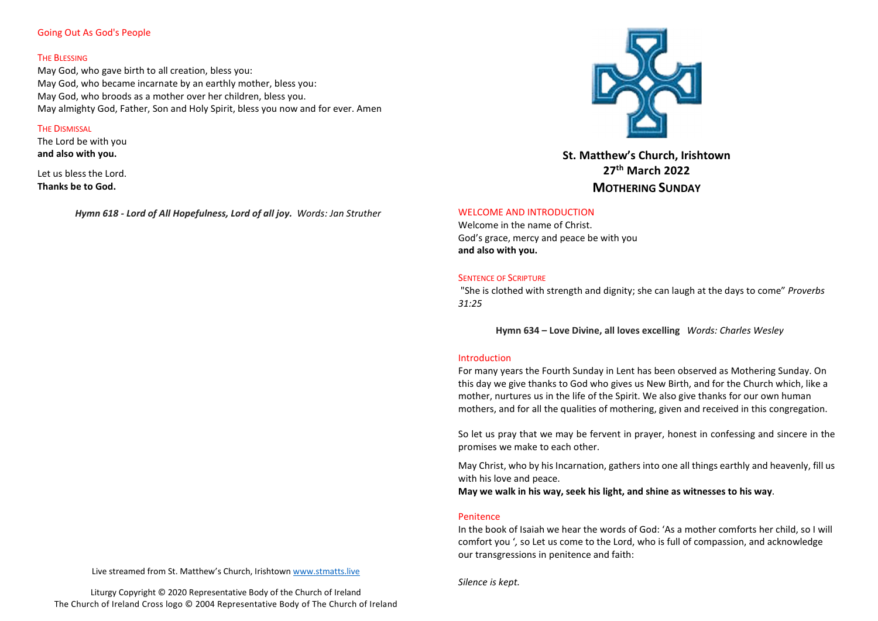# Going Out As God's People

#### **THE BLESSING**

May God, who gave birth to all creation, bless you: May God, who became incarnate by an earthly mother, bless you: May God, who broods as a mother over her children, bless you. May almighty God, Father, Son and Holy Spirit, bless you now and for ever. Amen

# **THE DISMISSAL**

The Lord be with you and also with you.

Let us bless the Lord. Thanks be to God.

Hymn 618 - Lord of All Hopefulness, Lord of all joy. Words: Jan Struther



St. Matthew's Church, Irishtown 27th March 2022 MOTHERING SUNDAY

# WELCOME AND INTRODUCTION

Welcome in the name of Christ. God's grace, mercy and peace be with you and also with you.

#### **SENTENCE OF SCRIPTURE**

"She is clothed with strength and dignity; she can laugh at the days to come" Proverbs 31:25

Hymn 634 – Love Divine, all loves excelling Words: Charles Wesley

#### Introduction

For many years the Fourth Sunday in Lent has been observed as Mothering Sunday. On this day we give thanks to God who gives us New Birth, and for the Church which, like a mother, nurtures us in the life of the Spirit. We also give thanks for our own human mothers, and for all the qualities of mothering, given and received in this congregation.

So let us pray that we may be fervent in prayer, honest in confessing and sincere in the promises we make to each other.

May Christ, who by his Incarnation, gathers into one all things earthly and heavenly, fill us with his love and peace.

May we walk in his way, seek his light, and shine as witnesses to his way.

# Penitence

In the book of Isaiah we hear the words of God: 'As a mother comforts her child, so I will comfort you ', so Let us come to the Lord, who is full of compassion, and acknowledge our transgressions in penitence and faith:

Live streamed from St. Matthew's Church, Irishtown www.stmatts.live

Liturgy Copyright © 2020 Representative Body of the Church of Ireland The Church of Ireland Cross logo © 2004 Representative Body of The Church of Ireland Silence is kept.